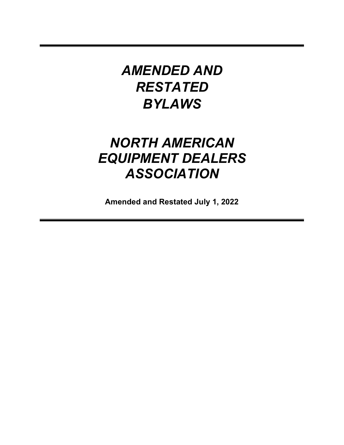# *AMENDED AND RESTATED BYLAWS*

# *NORTH AMERICAN EQUIPMENT DEALERS ASSOCIATION*

**Amended and Restated July 1, 2022**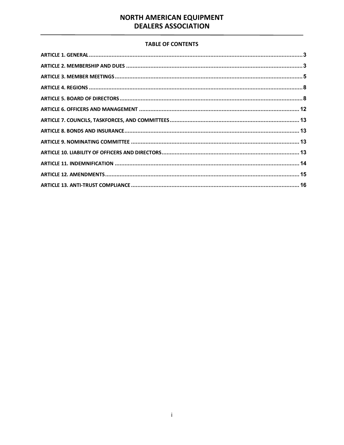# **TABLE OF CONTENTS**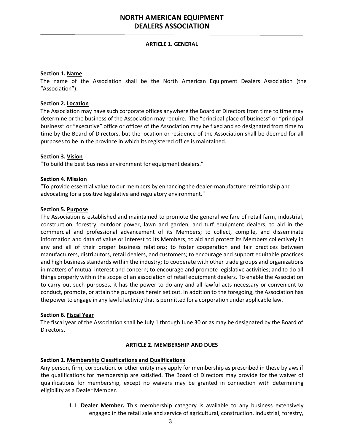#### **ARTICLE 1. GENERAL**

#### <span id="page-2-0"></span>**Section 1. Name**

The name of the Association shall be the North American Equipment Dealers Association (the "Association").

#### **Section 2. Location**

The Association may have such corporate offices anywhere the Board of Directors from time to time may determine or the business of the Association may require. The "principal place of business" or "principal business" or "executive" office or offices of the Association may be fixed and so designated from time to time by the Board of Directors, but the location or residence of the Association shall be deemed for all purposes to be in the province in which its registered office is maintained.

#### **Section 3. Vision**

"To build the best business environment for equipment dealers."

#### **Section 4. Mission**

"To provide essential value to our members by enhancing the dealer-manufacturer relationship and advocating for a positive legislative and regulatory environment."

#### **Section 5. Purpose**

The Association is established and maintained to promote the general welfare of retail farm, industrial, construction, forestry, outdoor power, lawn and garden, and turf equipment dealers; to aid in the commercial and professional advancement of its Members; to collect, compile, and disseminate information and data of value or interest to its Members; to aid and protect its Members collectively in any and all of their proper business relations; to foster cooperation and fair practices between manufacturers, distributors, retail dealers, and customers; to encourage and support equitable practices and high business standards within the industry; to cooperate with other trade groups and organizations in matters of mutual interest and concern; to encourage and promote legislative activities; and to do all things properly within the scope of an association of retail equipment dealers. To enable the Association to carry out such purposes, it has the power to do any and all lawful acts necessary or convenient to conduct, promote, or attain the purposes herein set out. In addition to the foregoing, the Association has the power to engage in any lawful activity that is permitted for a corporation under applicable law.

#### **Section 6. Fiscal Year**

The fiscal year of the Association shall be July 1 through June 30 or as may be designated by the Board of Directors.

#### **ARTICLE 2. MEMBERSHIP AND DUES**

#### <span id="page-2-1"></span>**Section 1. Membership Classifications and Qualifications**

Any person, firm, corporation, or other entity may apply for membership as prescribed in these bylaws if the qualifications for membership are satisfied. The Board of Directors may provide for the waiver of qualifications for membership, except no waivers may be granted in connection with determining eligibility as a Dealer Member.

> 1.1 **Dealer Member.** This membership category is available to any business extensively engaged in the retail sale and service of agricultural, construction, industrial, forestry,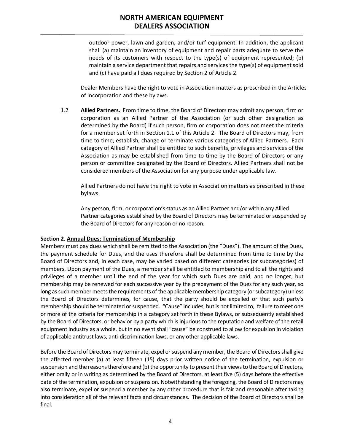outdoor power, lawn and garden, and/or turf equipment. In addition, the applicant shall (a) maintain an inventory of equipment and repair parts adequate to serve the needs of its customers with respect to the type(s) of equipment represented; (b) maintain a service department that repairs and services the type(s) of equipment sold and (c) have paid all dues required by Section 2 of Article 2.

Dealer Members have the right to vote in Association matters as prescribed in the Articles of Incorporation and these bylaws.

1.2 **Allied Partners.** From time to time, the Board of Directors may admit any person, firm or corporation as an Allied Partner of the Association (or such other designation as determined by the Board) if such person, firm or corporation does not meet the criteria for a member set forth in Section 1.1 of this Article 2. The Board of Directors may, from time to time, establish, change or terminate various categories of Allied Partners. Each category of Allied Partner shall be entitled to such benefits, privileges and services of the Association as may be established from time to time by the Board of Directors or any person or committee designated by the Board of Directors. Allied Partners shall not be considered members of the Association for any purpose under applicable law.

Allied Partners do not have the right to vote in Association matters as prescribed in these bylaws.

Any person, firm, or corporation's status as an Allied Partner and/or within any Allied Partner categories established by the Board of Directors may be terminated or suspended by the Board of Directors for any reason or no reason.

#### **Section 2. Annual Dues; Termination of Membership**

Members must pay dues which shall be remitted to the Association (the "Dues"). The amount of the Dues, the payment schedule for Dues, and the uses therefore shall be determined from time to time by the Board of Directors and, in each case, may be varied based on different categories (or subcategories) of members. Upon payment of the Dues, a membershall be entitled to membership and to all the rights and privileges of a member until the end of the year for which such Dues are paid, and no longer; but membership may be renewed for each successive year by the prepayment of the Dues for any such year, so long as such member meets the requirements of the applicable membership category (or subcategory) unless the Board of Directors determines, for cause, that the party should be expelled or that such party's membership should be terminated or suspended. "Cause" includes, but is not limited to, failure to meet one or more of the criteria for membership in a category set forth in these Bylaws, or subsequently established by the Board of Directors, or behavior by a party which is injurious to the reputation and welfare of the retail equipment industry as a whole, but in no event shall "cause" be construed to allow for expulsion in violation of applicable antitrust laws, anti-discrimination laws, or any other applicable laws.

Before the Board of Directors may terminate, expel or suspend any member, the Board of Directors shall give the affected member (a) at least fifteen (15) days prior written notice of the termination, expulsion or suspension and the reasons therefore and (b) the opportunity to present their views to the Board of Directors, either orally or in writing as determined by the Board of Directors, at least five (5) days before the effective date of the termination, expulsion or suspension. Notwithstanding the foregoing, the Board of Directors may also terminate, expel or suspend a member by any other procedure that is fair and reasonable after taking into consideration all of the relevant facts and circumstances. The decision of the Board of Directors shall be final.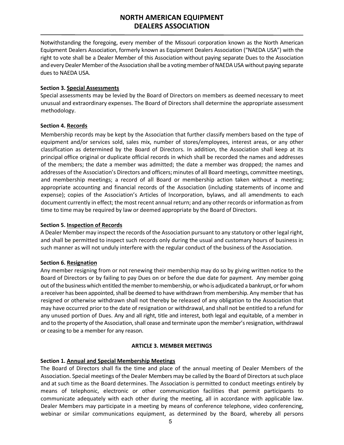Notwithstanding the foregoing, every member of the Missouri corporation known as the North American Equipment Dealers Association, formerly known as Equipment Dealers Association ("NAEDA USA") with the right to vote shall be a Dealer Member of this Association without paying separate Dues to the Association and every Dealer Member of the Association shall be a voting member of NAEDA USA without paying separate dues to NAEDA USA.

### **Section 3. Special Assessments**

Special assessments may be levied by the Board of Directors on members as deemed necessary to meet unusual and extraordinary expenses. The Board of Directors shall determine the appropriate assessment methodology.

# **Section 4. Records**

Membership records may be kept by the Association that further classify members based on the type of equipment and/or services sold, sales mix, number of stores/employees, interest areas, or any other classification as determined by the Board of Directors. In addition, the Association shall keep at its principal office original or duplicate official records in which shall be recorded the names and addresses of the members; the date a member was admitted; the date a member was dropped; the names and addresses of the Association's Directors and officers; minutes of all Board meetings, committee meetings, and membership meetings; a record of all Board or membership action taken without a meeting; appropriate accounting and financial records of the Association (including statements of income and expense); copies of the Association's Articles of Incorporation, bylaws, and all amendments to each document currently in effect; the most recent annual return; and any otherrecords orinformation asfrom time to time may be required by law or deemed appropriate by the Board of Directors.

### **Section 5. Inspection of Records**

A Dealer Member may inspect the records of the Association pursuant to any statutory or other legal right, and shall be permitted to inspect such records only during the usual and customary hours of business in such manner as will not unduly interfere with the regular conduct of the business of the Association.

# **Section 6. Resignation**

Any member resigning from or not renewing their membership may do so by giving written notice to the Board of Directors or by failing to pay Dues on or before the due date for payment. Any member going out of the business which entitled the member to membership, or who is adjudicated a bankrupt, or for whom a receiver has been appointed, shall be deemed to have withdrawn from membership. Any member that has resigned or otherwise withdrawn shall not thereby be released of any obligation to the Association that may have occurred prior to the date of resignation or withdrawal, and shall not be entitled to a refund for any unused portion of Dues. Any and all right, title and interest, both legal and equitable, of a member in and to the property of the Association, shall cease and terminate upon the member's resignation, withdrawal or ceasing to be a member for any reason.

#### **ARTICLE 3. MEMBER MEETINGS**

#### <span id="page-4-0"></span>**Section 1. Annual and Special Membership Meetings**

The Board of Directors shall fix the time and place of the annual meeting of Dealer Members of the Association. Special meetings of the Dealer Members may be called by the Board of Directors at such place and at such time as the Board determines. The Association is permitted to conduct meetings entirely by means of telephonic, electronic or other communication facilities that permit participants to communicate adequately with each other during the meeting, all in accordance with applicable law. Dealer Members may participate in a meeting by means of conference telephone, video conferencing, webinar or similar communications equipment, as determined by the Board, whereby all persons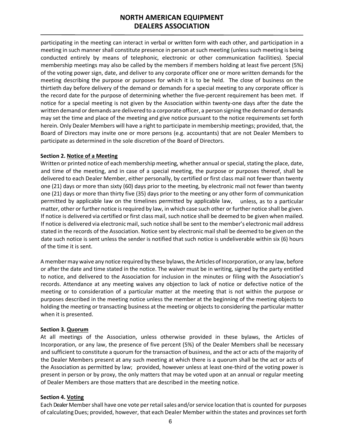participating in the meeting can interact in verbal or written form with each other, and participation in a meeting in such manner shall constitute presence in person at such meeting (unless such meeting is being conducted entirely by means of telephonic, electronic or other communication facilities). Special membership meetings may also be called by the members if members holding at least five percent (5%) of the voting power sign, date, and deliver to any corporate officer one or more written demands for the meeting describing the purpose or purposes for which it is to be held. The close of business on the thirtieth day before delivery of the demand or demands for a special meeting to any corporate officer is the record date for the purpose of determining whether the five-percent requirement has been met. If notice for a special meeting is not given by the Association within twenty-one days after the date the written demand or demands are delivered to a corporate officer, a person signing the demand or demands may set the time and place of the meeting and give notice pursuant to the notice requirements set forth herein. Only Dealer Members will have a right to participate in membership meetings; provided, that, the Board of Directors may invite one or more persons (e.g. accountants) that are not Dealer Members to participate as determined in the sole discretion of the Board of Directors.

#### **Section 2. Notice of a Meeting**

Written or printed notice of each membership meeting, whether annual or special, stating the place, date, and time of the meeting, and in case of a special meeting, the purpose or purposes thereof, shall be delivered to each Dealer Member, either personally, by certified or first class mail not fewer than twenty one (21) days or more than sixty (60) days prior to the meeting, by electronic mail not fewer than twenty one (21) days or more than thirty five (35) days prior to the meeting or any other form of communication permitted by applicable law on the timelines permitted by applicable law, unless, as to a particular matter, other or further notice is required by law, in which case such other or further notice shall be given. If notice is delivered via certified or first class mail, such notice shall be deemed to be given when mailed. If notice is delivered via electronic mail, such notice shall be sent to the member's electronic mail address stated in the records of the Association. Notice sent by electronic mailshall be deemed to be given on the date such notice is sent unless the sender is notified that such notice is undeliverable within six (6) hours of the time it is sent.

A member may waive any notice required by these bylaws, the Articles of Incorporation, or any law, before or afterthe date and time stated in the notice. The waiver must be in writing, signed by the party entitled to notice, and delivered to the Association for inclusion in the minutes or filing with the Association's records. Attendance at any meeting waives any objection to lack of notice or defective notice of the meeting or to consideration of a particular matter at the meeting that is not within the purpose or purposes described in the meeting notice unless the member at the beginning of the meeting objects to holding the meeting or transacting business at the meeting or objects to considering the particular matter when it is presented.

#### **Section 3. Quorum**

At all meetings of the Association, unless otherwise provided in these bylaws, the Articles of Incorporation, or any law, the presence of five percent (5%) of the Dealer Members shall be necessary and sufficient to constitute a quorum for the transaction of business, and the act or acts of the majority of the Dealer Members present at any such meeting at which there is a quorum shall be the act or acts of the Association as permitted by law; provided, however unless at least one-third of the voting power is present in person or by proxy, the only matters that may be voted upon at an annual or regular meeting of Dealer Members are those matters that are described in the meeting notice.

#### **Section 4. Voting**

Each Dealer Membershall have one vote perretailsales and/orservice location thatis counted for purposes of calculatingDues; provided, however, that each Dealer Member within the states and provinces set forth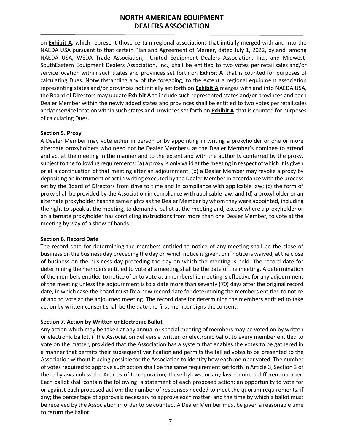on **Exhibit A**, which represent those certain regional associations that initially merged with and into the NAEDA USA pursuant to that certain Plan and Agreement of Merger, dated July 1, 2022, by and among NAEDA USA, WEDA Trade Association, United Equipment Dealers Association, Inc., and Midwest-SouthEastern Equipment Dealers Association, Inc., shall be entitled to two votes per retail sales and/or service location within such states and provinces set forth on **Exhibit A** that is counted for purposes of calculating Dues. Notwithstanding any of the foregoing, to the extent a regional equipment association representing states and/or provinces not initially set forth on **Exhibit A** merges with and into NAEDA USA, the Board of Directors may update **Exhibit A** to include such represented states and/or provinces and each Dealer Member within the newly added states and provinces shall be entitled to two votes perretailsales and/orservice location within such states and provinces set forth on **Exhibit A** that is counted for purposes of calculating Dues.

#### **Section 5. Proxy**

A Dealer Member may vote either in person or by appointing in writing a proxyholder or one or more alternate proxyholders who need not be Dealer Members, as the Dealer Member's nominee to attend and act at the meeting in the manner and to the extent and with the authority conferred by the proxy, subject to the following requirements: (a) a proxy is only valid at the meeting in respect of which it is given or at a continuation of that meeting after an adjournment; (b) a Dealer Member may revoke a proxy by depositing an instrument or act in writing executed by the Dealer Member in accordance with the process set by the Board of Directors from time to time and in compliance with applicable law; (c) the form of proxy shall be provided by the Association in compliance with applicable law; and (d) a proxyholder or an alternate proxyholder has the same rights as the Dealer Member by whom they were appointed, including the right to speak at the meeting, to demand a ballot at the meeting and, except where a proxyholder or an alternate proxyholder has conflicting instructions from more than one Dealer Member, to vote at the meeting by way of a show of hands. .

#### **Section 6. Record Date**

The record date for determining the members entitled to notice of any meeting shall be the close of business on the business day preceding the day on which notice is given, or if notice is waived, at the close of business on the business day preceding the day on which the meeting is held. The record date for determining the members entitled to vote at a meeting shall be the date of the meeting. A determination of the members entitled to notice of or to vote at a membership meeting is effective for any adjournment of the meeting unless the adjournment is to a date more than seventy (70) days after the original record date, in which case the board must fix a new record date for determining the members entitled to notice of and to vote at the adjourned meeting. The record date for determining the members entitled to take action by written consent shall be the date the first member signs the consent.

#### **Section 7. Action by Written or Electronic Ballot**

Any action which may be taken at any annual or special meeting of members may be voted on by written or electronic ballot, if the Association delivers a written or electronic ballot to every member entitled to vote on the matter, provided that the Association has a system that enables the votes to be gathered in a manner that permits their subsequent verification and permits the tallied votes to be presented to the Association without it being possible for the Association to identify how each member voted. The number of votes required to approve such action shall be the same requirement set forth in Article 3, Section 3 of these bylaws unless the Articles of Incorporation, these bylaws, or any law require a different number. Each ballot shall contain the following: a statement of each proposed action; an opportunity to vote for or against each proposed action; the number of responses needed to meet the quorum requirements, if any; the percentage of approvals necessary to approve each matter; and the time by which a ballot must be received by the Association in order to be counted. A Dealer Member must be given a reasonable time to return the ballot.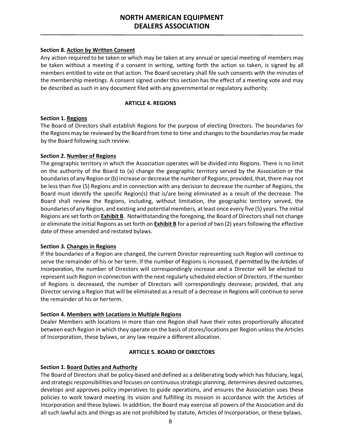# **Section 8. Action by Written Consent**

Any action required to be taken or which may be taken at any annual or special meeting of members may be taken without a meeting if a consent in writing, setting forth the action so taken, is signed by all members entitled to vote on that action. The Board secretary shall file such consents with the minutes of the membership meetings. A consent signed under this section has the effect of a meeting vote and may be described as such in any document filed with any governmental or regulatory authority.

# **ARTICLE 4. REGIONS**

# <span id="page-7-0"></span>**Section 1. Regions**

The Board of Directors shall establish Regions for the purpose of electing Directors. The boundaries for the Regions may be reviewed by the Board from time to time and changes to the boundaries may be made by the Board following such review.

# **Section 2. Number of Regions**

The geographic territory in which the Association operates will be divided into Regions. There is no limit on the authority of the Board to (a) change the geographic territory served by the Association or the boundaries of any Region or(b) increase or decrease the number of Regions; provided, that, there may not be less than five (5) Regions and in connection with any decision to decrease the number of Regions, the Board must identify the specific Region(s) that is/are being eliminated as a result of the decrease. The Board shall review the Regions, including, without limitation, the geographic territory served, the boundaries of any Region, and existing and potential members, at least once every five (5) years. The initial Regions are set forth on **Exhibit B**. Notwithstanding the foregoing, the Board of Directors shall not change or eliminate the initial Regions as set forth on **Exhibit B** for a period of two (2) years following the effective date of these amended and restated bylaws.

#### **Section 3. Changes in Regions**

If the boundaries of a Region are changed, the current Director representing such Region will continue to serve the remainder of his or her term. If the number of Regions is increased, if permitted by the Articles of Incorporation, the number of Directors will correspondingly increase and a Director will be elected to represent such Region in connection with the next regularly scheduled election of Directors. If the number of Regions is decreased, the number of Directors will correspondingly decrease; provided, that any Director serving a Region that will be eliminated as a result of a decrease in Regions will continue to serve the remainder of his or herterm.

#### **Section 4. Members with Locations in Multiple Regions**

Dealer Members with locations in more than one Region shall have their votes proportionally allocated between each Region in which they operate on the basis of stores/locations per Region unless the Articles of Incorporation, these bylaws, or any law require a different allocation.

# **ARTICLE 5. BOARD OF DIRECTORS**

# <span id="page-7-1"></span>**Section 1. Board Duties and Authority**

The Board of Directors shall be policy-based and defined as a deliberating body which has fiduciary, legal, and strategic responsibilities and focuses on continuous strategic planning, determines desired outcomes, develops and approves policy imperatives to guide operations, and ensures the Association uses these policies to work toward meeting its vision and fulfilling its mission in accordance with the Articles of Incorporation and these bylaws. In addition, the Board may exercise all powers of the Association and do all such lawful acts and things as are not prohibited by statute, Articles of Incorporation, or these bylaws.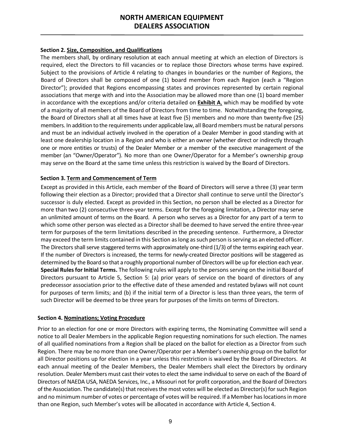# **Section 2. Size, Composition, and Qualifications**

The members shall, by ordinary resolution at each annual meeting at which an election of Directors is required, elect the Directors to fill vacancies or to replace those Directors whose terms have expired. Subject to the provisions of Article 4 relating to changes in boundaries or the number of Regions, the Board of Directors shall be composed of one (1) board member from each Region (each a "Region Director"); provided that Regions encompassing states and provinces represented by certain regional associations that merge with and into the Association may be allowed more than one (1) board member in accordance with the exceptions and/or criteria detailed on **Exhibit A**, which may be modified by vote of a majority of all members of the Board of Directors from time to time. Notwithstanding the foregoing, the Board of Directors shall at all times have at least five (5) members and no more than twenty-five (25) members. In addition to the requirements under applicable law, all Board members must be natural persons and must be an individual actively involved in the operation of a Dealer Member in good standing with at least one dealership location in a Region and who is either an owner (whether direct or indirectly through one or more entities or trusts) of the Dealer Member or a member of the executive management of the member (an "Owner/Operator"). No more than one Owner/Operator for a Member's ownership group may serve on the Board at the same time unless this restriction is waived by the Board of Directors.

#### **Section 3. Term and Commencement of Term**

Except as provided in this Article, each member of the Board of Directors will serve a three (3) year term following their election as a Director; provided that a Director shall continue to serve until the Director's successor is duly elected. Except as provided in this Section, no person shall be elected as a Director for more than two (2) consecutive three-year terms. Except for the foregoing limitation, a Director may serve an unlimited amount of terms on the Board. A person who serves as a Director for any part of a term to which some other person was elected as a Director shall be deemed to have served the entire three-year term for purposes of the term limitations described in the preceding sentence. Furthermore, a Director may exceed the term limits contained in this Section aslong assuch person isserving as an elected officer. The Directors shall serve staggered terms with approximately one-third (1/3) of the terms expiring each year. If the number of Directors is increased, the terms for newly-created Director positions will be staggered as determined by the Board so that a roughly proportional number of Directors will be up for election each year. **Special Rules for Initial Terms.** The following rules will apply to the persons serving on the initial Board of Directors pursuant to Article 5, Section 5: (a) prior years of service on the board of directors of any predecessor association prior to the effective date of these amended and restated bylaws will not count for purposes of term limits; and (b) if the initial term of a Director is less than three years, the term of such Director will be deemed to be three years for purposes of the limits on terms of Directors.

#### **Section 4. Nominations; Voting Procedure**

Prior to an election for one or more Directors with expiring terms, the Nominating Committee will send a notice to all Dealer Members in the applicable Region requesting nominations for such election. The names of all qualified nominations from a Region shall be placed on the ballot for election as a Director from such Region. There may be no more than one Owner/Operator per a Member's ownership group on the ballot for all Director positions up for election in a year unless this restriction is waived by the Board of Directors. At each annual meeting of the Dealer Members, the Dealer Members shall elect the Directors by ordinary resolution. Dealer Members must cast their votes to elect the same individual to serve on each of the Board of Directors of NAEDA USA, NAEDA Services, Inc., a Missouri not for profit corporation, and the Board of Directors of the Association. The candidate(s) that receives the most votes will be elected as Director(s) for such Region and no minimum number of votes or percentage of votes will be required. If a Member has locations in more than one Region, such Member's votes will be allocated in accordance with Article 4, Section 4.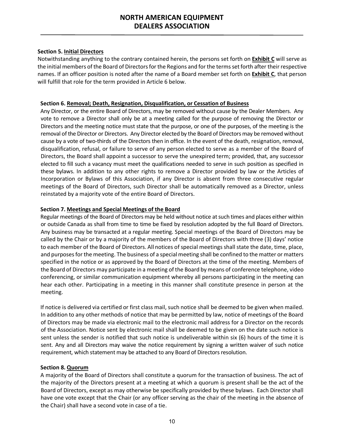# **Section 5. Initial Directors**

Notwithstanding anything to the contrary contained herein, the persons set forth on **Exhibit C** will serve as the initial members of the Board of Directors for the Regions and for the terms set forth after their respective names. If an officer position is noted after the name of a Board member set forth on **Exhibit C**, that person will fulfill that role for the term provided in Article 6 below.

# **Section 6. Removal; Death, Resignation, Disqualification, or Cessation of Business**

Any Director, or the entire Board of Directors, may be removed without cause by the Dealer Members. Any vote to remove a Director shall only be at a meeting called for the purpose of removing the Director or Directors and the meeting notice must state that the purpose, or one of the purposes, of the meeting is the removal of the Director or Directors. Any Director elected by the Board of Directors may be removed without cause by a vote of two-thirds of the Directors then in office. In the event of the death, resignation, removal, disqualification, refusal, or failure to serve of any person elected to serve as a member of the Board of Directors, the Board shall appoint a successor to serve the unexpired term; provided, that, any successor elected to fill such a vacancy must meet the qualifications needed to serve in such position as specified in these bylaws. In addition to any other rights to remove a Director provided by law or the Articles of Incorporation or Bylaws of this Association, if any Director is absent from three consecutive regular meetings of the Board of Directors, such Director shall be automatically removed as a Director, unless reinstated by a majority vote of the entire Board of Directors.

# **Section 7. Meetings and Special Meetings of the Board**

Regular meetings of the Board of Directors may be held without notice at such times and places either within or outside Canada as shall from time to time be fixed by resolution adopted by the full Board of Directors. Any business may be transacted at a regular meeting. Special meetings of the Board of Directors may be called by the Chair or by a majority of the members of the Board of Directors with three (3) days' notice to each member of the Board of Directors. All notices of special meetings shall state the date, time, place, and purposes for the meeting. The business of a special meeting shall be confined to the matter or matters specified in the notice or as approved by the Board of Directors at the time of the meeting. Members of the Board of Directors may participate in a meeting of the Board by means of conference telephone, video conferencing, or similar communication equipment whereby all persons participating in the meeting can hear each other. Participating in a meeting in this manner shall constitute presence in person at the meeting.

If notice is delivered via certified or first class mail, such notice shall be deemed to be given when mailed. In addition to any other methods of notice that may be permitted by law, notice of meetings of the Board of Directors may be made via electronic mail to the electronic mail address for a Director on the records of the Association. Notice sent by electronic mail shall be deemed to be given on the date such notice is sent unless the sender is notified that such notice is undeliverable within six (6) hours of the time it is sent. Any and all Directors may waive the notice requirement by signing a written waiver of such notice requirement, which statement may be attached to any Board of Directors resolution.

#### **Section 8. Quorum**

A majority of the Board of Directors shall constitute a quorum for the transaction of business. The act of the majority of the Directors present at a meeting at which a quorum is present shall be the act of the Board of Directors, except as may otherwise be specifically provided by these bylaws. Each Director shall have one vote except that the Chair (or any officer serving as the chair of the meeting in the absence of the Chair) shall have a second vote in case of a tie.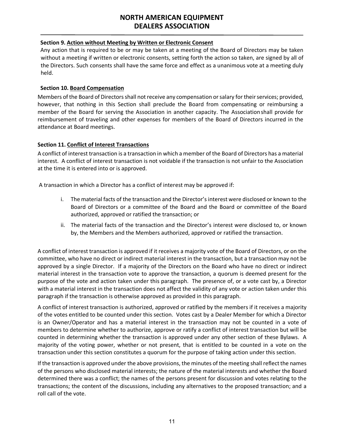#### **Section 9. Action without Meeting by Written or Electronic Consent**

Any action that is required to be or may be taken at a meeting of the Board of Directors may be taken without a meeting if written or electronic consents, setting forth the action so taken, are signed by all of the Directors. Such consents shall have the same force and effect as a unanimous vote at a meeting duly held.

### **Section 10. Board Compensation**

Members of the Board of Directors shall not receive any compensation or salary for their services; provided, however, that nothing in this Section shall preclude the Board from compensating or reimbursing a member of the Board for serving the Association in another capacity. The Associationshall provide for reimbursement of traveling and other expenses for members of the Board of Directors incurred in the attendance at Board meetings.

# **Section 11. Conflict of Interest Transactions**

A conflict of interest transaction is a transaction in which a member of the Board of Directors has a material interest. A conflict of interest transaction is not voidable if the transaction is not unfair to the Association at the time it is entered into or is approved.

A transaction in which a Director has a conflict of interest may be approved if:

- i. The material facts of the transaction and the Director's interest were disclosed or known to the Board of Directors or a committee of the Board and the Board or committee of the Board authorized, approved or ratified the transaction; or
- ii. The material facts of the transaction and the Director's interest were disclosed to, or known by, the Members and the Members authorized, approved or ratified the transaction.

A conflict of interest transaction is approved if it receives a majority vote of the Board of Directors, or on the committee, who have no direct or indirect material interest in the transaction, but a transaction may not be approved by a single Director. If a majority of the Directors on the Board who have no direct or indirect material interest in the transaction vote to approve the transaction, a quorum is deemed present for the purpose of the vote and action taken under this paragraph. The presence of, or a vote cast by, a Director with a material interest in the transaction does not affect the validity of any vote or action taken under this paragraph if the transaction is otherwise approved as provided in this paragraph.

A conflict of interest transaction is authorized, approved or ratified by the members if it receives a majority of the votes entitled to be counted under this section. Votes cast by a Dealer Member for which a Director is an Owner/Operator and has a material interest in the transaction may not be counted in a vote of members to determine whether to authorize, approve or ratify a conflict of interest transaction but will be counted in determining whether the transaction is approved under any other section of these Bylaws. A majority of the voting power, whether or not present, that is entitled to be counted in a vote on the transaction under this section constitutes a quorum for the purpose of taking action under this section.

If the transaction is approved under the above provisions, the minutes of the meeting shall reflect the names of the persons who disclosed material interests; the nature of the material interests and whether the Board determined there was a conflict; the names of the persons present for discussion and votes relating to the transactions; the content of the discussions, including any alternatives to the proposed transaction; and a roll call of the vote.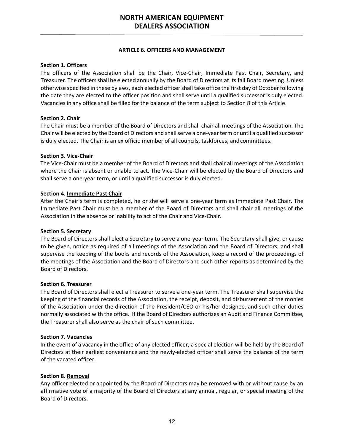#### **ARTICLE 6. OFFICERS AND MANAGEMENT**

# <span id="page-11-0"></span>**Section 1. Officers**

The officers of the Association shall be the Chair, Vice-Chair, Immediate Past Chair, Secretary, and Treasurer. The officersshall be elected annually by the Board of Directors at its fall Board meeting. Unless otherwise specified in these bylaws, each elected officer shall take office the first day of October following the date they are elected to the officer position and shall serve until a qualified successor is duly elected. Vacancies in any office shall be filled for the balance of the term subject to Section 8 of this Article.

# **Section 2. Chair**

The Chair must be a member of the Board of Directors and shall chair all meetings of the Association. The Chair will be elected by the Board of Directors and shall serve a one-year term or until a qualified successor is duly elected. The Chair is an ex officio member of all councils, taskforces, andcommittees.

# **Section 3. Vice-Chair**

The Vice-Chair must be a member of the Board of Directors and shall chair all meetings of the Association where the Chair is absent or unable to act. The Vice-Chair will be elected by the Board of Directors and shall serve a one-year term, or until a qualified successor is duly elected.

# **Section 4. Immediate Past Chair**

After the Chair's term is completed, he or she will serve a one-year term as Immediate Past Chair. The Immediate Past Chair must be a member of the Board of Directors and shall chair all meetings of the Association in the absence or inability to act of the Chair and Vice-Chair.

#### **Section 5. Secretary**

The Board of Directors shall elect a Secretary to serve a one-year term. The Secretary shall give, or cause to be given, notice as required of all meetings of the Association and the Board of Directors, and shall supervise the keeping of the books and records of the Association, keep a record of the proceedings of the meetings of the Association and the Board of Directors and such other reports as determined by the Board of Directors.

#### **Section 6. Treasurer**

The Board of Directors shall elect a Treasurer to serve a one-year term. The Treasurer shall supervise the keeping of the financial records of the Association, the receipt, deposit, and disbursement of the monies of the Association under the direction of the President/CEO or his/her designee, and such other duties normally associated with the office. If the Board of Directors authorizes an Audit and Finance Committee, the Treasurer shall also serve as the chair of such committee.

#### **Section 7. Vacancies**

In the event of a vacancy in the office of any elected officer, a special election will be held by the Board of Directors at their earliest convenience and the newly-elected officer shall serve the balance of the term of the vacated officer.

#### **Section 8. Removal**

Any officer elected or appointed by the Board of Directors may be removed with or without cause by an affirmative vote of a majority of the Board of Directors at any annual, regular, or special meeting of the Board of Directors.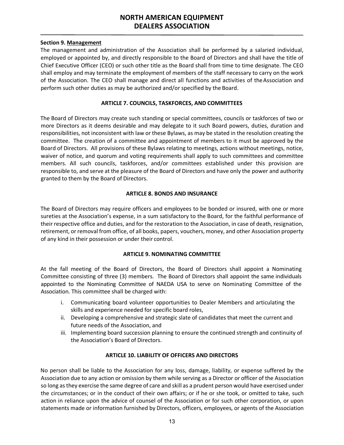#### **Section 9. Management**

The management and administration of the Association shall be performed by a salaried individual, employed or appointed by, and directly responsible to the Board of Directors and shall have the title of Chief Executive Officer (CEO) or such other title as the Board shall from time to time designate. The CEO shall employ and may terminate the employment of members of the staff necessary to carry on the work of the Association. The CEO shall manage and direct all functions and activities of the Association and perform such other duties as may be authorized and/or specified by the Board.

### **ARTICLE 7. COUNCILS, TASKFORCES, AND COMMITTEES**

<span id="page-12-0"></span>The Board of Directors may create such standing or special committees, councils or taskforces of two or more Directors as it deems desirable and may delegate to it such Board powers, duties, duration and responsibilities, not inconsistent with law or these Bylaws, as may be stated in the resolution creating the committee. The creation of a committee and appointment of members to it must be approved by the Board of Directors. All provisions of these Bylaws relating to meetings, actions without meetings, notice, waiver of notice, and quorum and voting requirements shall apply to such committees and committee members. All such councils, taskforces, and/or committees established under this provision are responsible to, and serve at the pleasure of the Board of Directors and have only the power and authority granted to them by the Board of Directors.

# **ARTICLE 8. BONDS AND INSURANCE**

<span id="page-12-1"></span>The Board of Directors may require officers and employees to be bonded or insured, with one or more sureties at the Association's expense, in a sum satisfactory to the Board, for the faithful performance of their respective office and duties, and for the restoration to the Association, in case of death, resignation, retirement, or removal from office, of all books, papers, vouchers, money, and other Association property of any kind in their possession or under their control.

#### **ARTICLE 9. NOMINATING COMMITTEE**

<span id="page-12-2"></span>At the fall meeting of the Board of Directors, the Board of Directors shall appoint a Nominating Committee consisting of three (3) members. The Board of Directors shall appoint the same individuals appointed to the Nominating Committee of NAEDA USA to serve on Nominating Committee of the Association. This committee shall be charged with:

- i. Communicating board volunteer opportunities to Dealer Members and articulating the skills and experience needed for specific board roles,
- ii. Developing a comprehensive and strategic slate of candidates that meet the current and future needs of the Association, and
- iii. Implementing board succession planning to ensure the continued strength and continuity of the Association's Board of Directors.

### **ARTICLE 10. LIABILITY OF OFFICERS AND DIRECTORS**

<span id="page-12-3"></span>No person shall be liable to the Association for any loss, damage, liability, or expense suffered by the Association due to any action or omission by them while serving as a Director or officer of the Association so long asthey exercise the same degree of care and skill as a prudent person would have exercised under the circumstances; or in the conduct of their own affairs; or if he or she took, or omitted to take, such action in reliance upon the advice of counsel of the Association or for such other corporation, or upon statements made or information furnished by Directors, officers, employees, or agents of the Association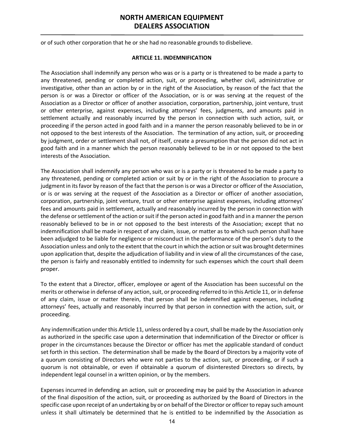<span id="page-13-0"></span>or of such other corporation that he or she had no reasonable grounds to disbelieve.

#### **ARTICLE 11. INDEMNIFICATION**

The Association shall indemnify any person who was or is a party or is threatened to be made a party to any threatened, pending or completed action, suit, or proceeding, whether civil, administrative or investigative, other than an action by or in the right of the Association, by reason of the fact that the person is or was a Director or officer of the Association, or is or was serving at the request of the Association as a Director or officer of another association, corporation, partnership, joint venture, trust or other enterprise, against expenses, including attorneys' fees, judgments, and amounts paid in settlement actually and reasonably incurred by the person in connection with such action, suit, or proceeding if the person acted in good faith and in a manner the person reasonably believed to be in or not opposed to the best interests of the Association. The termination of any action, suit, or proceeding by judgment, order or settlement shall not, of itself, create a presumption that the person did not act in good faith and in a manner which the person reasonably believed to be in or not opposed to the best interests of the Association.

The Association shall indemnify any person who was or is a party or is threatened to be made a party to any threatened, pending or completed action or suit by or in the right of the Association to procure a judgment in its favor by reason of the fact that the person is or was a Director or officer of the Association, or is or was serving at the request of the Association as a Director or officer of another association, corporation, partnership, joint venture, trust or other enterprise against expenses, including attorneys' fees and amounts paid in settlement, actually and reasonably incurred by the person in connection with the defense or settlement of the action or suit if the person acted in good faith and in a manner the person reasonably believed to be in or not opposed to the best interests of the Association; except that no indemnification shall be made in respect of any claim, issue, or matter as to which such person shall have been adjudged to be liable for negligence or misconduct in the performance of the person's duty to the Association unless and only to the extent that the court in which the action or suit was brought determines upon application that, despite the adjudication of liability and in view of all the circumstances of the case, the person is fairly and reasonably entitled to indemnity for such expenses which the court shall deem proper.

To the extent that a Director, officer, employee or agent of the Association has been successful on the merits or otherwise in defense of any action, suit, or proceeding referred to in this Article 11, or in defense of any claim, issue or matter therein, that person shall be indemnified against expenses, including attorneys' fees, actually and reasonably incurred by that person in connection with the action, suit, or proceeding.

Any indemnification under this Article 11, unless ordered by a court, shall be made by the Association only as authorized in the specific case upon a determination that indemnification of the Director or officer is proper in the circumstances because the Director or officer has met the applicable standard of conduct set forth in this section. The determination shall be made by the Board of Directors by a majority vote of a quorum consisting of Directors who were not parties to the action, suit, or proceeding, or if such a quorum is not obtainable, or even if obtainable a quorum of disinterested Directors so directs, by independent legal counsel in a written opinion, or by the members.

Expenses incurred in defending an action, suit or proceeding may be paid by the Association in advance of the final disposition of the action, suit, or proceeding as authorized by the Board of Directors in the specific case upon receipt of an undertaking by or on behalf of the Director or officer to repay such amount unless it shall ultimately be determined that he is entitled to be indemnified by the Association as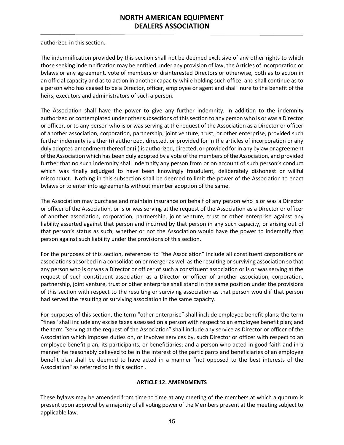authorized in this section.

The indemnification provided by this section shall not be deemed exclusive of any other rights to which those seeking indemnification may be entitled under any provision of law, the Articles of Incorporation or bylaws or any agreement, vote of members or disinterested Directors or otherwise, both as to action in an official capacity and as to action in another capacity while holding such office, and shall continue as to a person who has ceased to be a Director, officer, employee or agent and shall inure to the benefit of the heirs, executors and administrators of such a person.

The Association shall have the power to give any further indemnity, in addition to the indemnity authorized or contemplated under other subsections of this section to any person who is or was a Director or officer, or to any person who is or was serving at the request of the Association as a Director or officer of another association, corporation, partnership, joint venture, trust, or other enterprise, provided such further indemnity is either (i) authorized, directed, or provided for in the articles of incorporation or any duly adopted amendment thereof or (ii) is authorized, directed, or provided for in any bylaw or agreement of the Association which has been duly adopted by a vote of the members of the Association, and provided further that no such indemnity shall indemnify any person from or on account of such person's conduct which was finally adjudged to have been knowingly fraudulent, deliberately dishonest or willful misconduct. Nothing in this subsection shall be deemed to limit the power of the Association to enact bylaws or to enter into agreements without member adoption of the same.

The Association may purchase and maintain insurance on behalf of any person who is or was a Director or officer of the Association, or is or was serving at the request of the Association as a Director or officer of another association, corporation, partnership, joint venture, trust or other enterprise against any liability asserted against that person and incurred by that person in any such capacity, or arising out of that person's status as such, whether or not the Association would have the power to indemnify that person against such liability under the provisions of this section.

For the purposes of this section, references to "the Association" include all constituent corporations or associations absorbed in a consolidation or merger as well as the resulting or surviving association so that any person who is or was a Director or officer of such a constituent association or is or was serving at the request of such constituent association as a Director or officer of another association, corporation, partnership, joint venture, trust or other enterprise shall stand in the same position under the provisions of this section with respect to the resulting or surviving association as that person would if that person had served the resulting or surviving association in the same capacity.

For purposes of this section, the term "other enterprise" shall include employee benefit plans; the term "fines" shall include any excise taxes assessed on a person with respect to an employee benefit plan; and the term "serving at the request of the Association" shall include any service as Director or officer of the Association which imposes duties on, or involves services by, such Director or officer with respect to an employee benefit plan, its participants, or beneficiaries; and a person who acted in good faith and in a manner he reasonably believed to be in the interest of the participants and beneficiaries of an employee benefit plan shall be deemed to have acted in a manner "not opposed to the best interests of the Association" as referred to in this section .

# **ARTICLE 12. AMENDMENTS**

<span id="page-14-0"></span>These bylaws may be amended from time to time at any meeting of the members at which a quorum is present upon approval by a majority of all voting power of the Members present at the meeting subject to applicable law.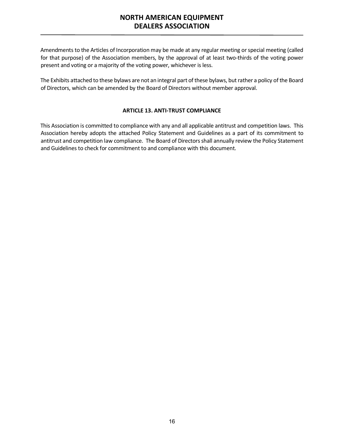Amendments to the Articles of Incorporation may be made at any regular meeting or special meeting (called for that purpose) of the Association members, by the approval of at least two-thirds of the voting power present and voting or a majority of the voting power, whichever is less.

The Exhibits attached to these bylaws are not an integral part of these bylaws, but rather a policy of the Board of Directors, which can be amended by the Board of Directors without member approval.

# **ARTICLE 13. ANTI-TRUST COMPLIANCE**

<span id="page-15-0"></span>This Association is committed to compliance with any and all applicable antitrust and competition laws. This Association hereby adopts the attached Policy Statement and Guidelines as a part of its commitment to antitrust and competition law compliance. The Board of Directors shall annually review the Policy Statement and Guidelines to check for commitment to and compliance with this document.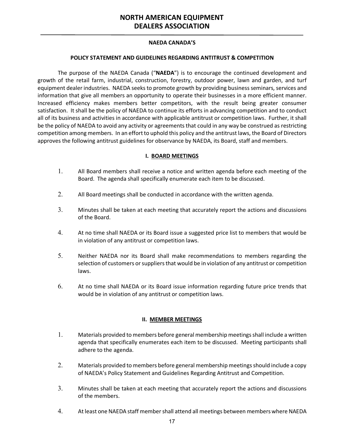### **NAEDA CANADA'S**

### **POLICY STATEMENT AND GUIDELINES REGARDING ANTITRUST & COMPETITION**

The purpose of the NAEDA Canada ("**NAEDA**") is to encourage the continued development and growth of the retail farm, industrial, construction, forestry, outdoor power, lawn and garden, and turf equipment dealer industries. NAEDA seeks to promote growth by providing business seminars, services and information that give all members an opportunity to operate their businesses in a more efficient manner. Increased efficiency makes members better competitors, with the result being greater consumer satisfaction. It shall be the policy of NAEDA to continue its efforts in advancing competition and to conduct all of its business and activities in accordance with applicable antitrust or competition laws. Further, it shall be the policy of NAEDA to avoid any activity or agreements that could in any way be construed as restricting competition among members. In an effort to uphold this policy and the antitrust laws, the Board of Directors approves the following antitrust guidelines for observance by NAEDA, its Board, staff and members.

# **I. BOARD MEETINGS**

- 1. All Board members shall receive a notice and written agenda before each meeting of the Board. The agenda shall specifically enumerate each item to be discussed.
- 2. All Board meetings shall be conducted in accordance with the written agenda.
- 3. Minutes shall be taken at each meeting that accurately report the actions and discussions of the Board.
- 4. At no time shall NAEDA or its Board issue a suggested price list to members that would be in violation of any antitrust or competition laws.
- 5. Neither NAEDA nor its Board shall make recommendations to members regarding the selection of customers or suppliers that would be in violation of any antitrust or competition laws.
- 6. At no time shall NAEDA or its Board issue information regarding future price trends that would be in violation of any antitrust or competition laws.

#### **II. MEMBER MEETINGS**

- 1. Materials provided to members before general membership meetings shall include a written agenda that specifically enumerates each item to be discussed. Meeting participants shall adhere to the agenda.
- 2. Materials provided to members before general membership meetings should include a copy of NAEDA's Policy Statement and Guidelines Regarding Antitrust and Competition.
- 3. Minutes shall be taken at each meeting that accurately report the actions and discussions of the members.
- 4. At least one NAEDA staff member shall attend all meetings between members where NAEDA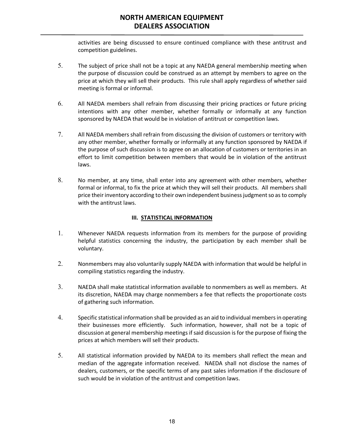activities are being discussed to ensure continued compliance with these antitrust and competition guidelines.

- 5. The subject of price shall not be a topic at any NAEDA general membership meeting when the purpose of discussion could be construed as an attempt by members to agree on the price at which they will sell their products. This rule shall apply regardless of whether said meeting is formal or informal.
- 6. All NAEDA members shall refrain from discussing their pricing practices or future pricing intentions with any other member, whether formally or informally at any function sponsored by NAEDA that would be in violation of antitrust or competition laws.
- 7. All NAEDA members shall refrain from discussing the division of customers or territory with any other member, whether formally or informally at any function sponsored by NAEDA if the purpose of such discussion is to agree on an allocation of customers or territories in an effort to limit competition between members that would be in violation of the antitrust laws.
- 8. No member, at any time, shall enter into any agreement with other members, whether formal or informal, to fix the price at which they will sell their products. All members shall price their inventory according to their own independent business judgment so as to comply with the antitrust laws.

# **III. STATISTICAL INFORMATION**

- 1. Whenever NAEDA requests information from its members for the purpose of providing helpful statistics concerning the industry, the participation by each member shall be voluntary.
- 2. Nonmembers may also voluntarily supply NAEDA with information that would be helpful in compiling statistics regarding the industry.
- 3. NAEDA shall make statistical information available to nonmembers as well as members. At its discretion, NAEDA may charge nonmembers a fee that reflects the proportionate costs of gathering such information.
- 4. Specific statistical information shall be provided as an aid to individual members in operating their businesses more efficiently. Such information, however, shall not be a topic of discussion at general membership meetings if said discussion is for the purpose of fixing the prices at which members will sell their products.
- 5. All statistical information provided by NAEDA to its members shall reflect the mean and median of the aggregate information received. NAEDA shall not disclose the names of dealers, customers, or the specific terms of any past sales information if the disclosure of such would be in violation of the antitrust and competition laws.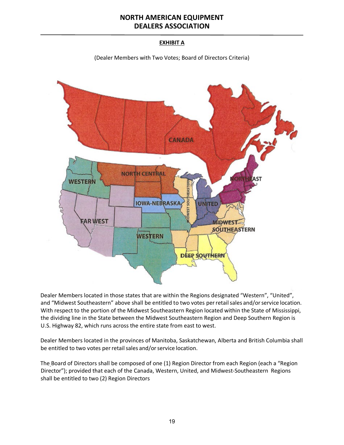# **EXHIBIT A**

(Dealer Members with Two Votes; Board of Directors Criteria)



Dealer Members located in those states that are within the Regions designated "Western", "United", and "Midwest Southeastern" above shall be entitled to two votes per retail sales and/or service location. With respect to the portion of the Midwest Southeastern Region located within the State of Mississippi, the dividing line in the State between the Midwest Southeastern Region and Deep Southern Region is U.S. Highway 82, which runs across the entire state from east to west.

Dealer Members located in the provinces of Manitoba, Saskatchewan, Alberta and British Columbia shall be entitled to two votes per retail sales and/or service location.

The Board of Directors shall be composed of one (1) Region Director from each Region (each a "Region Director"); provided that each of the Canada, Western, United, and Midwest-Southeastern Regions shall be entitled to two (2) Region Directors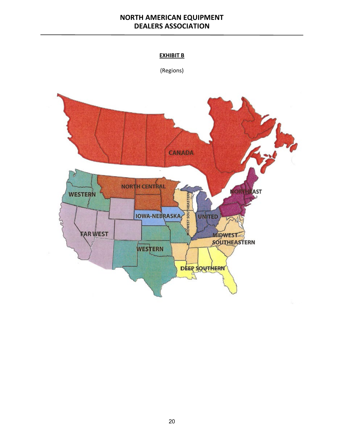# **EXHIBIT B**

(Regions)